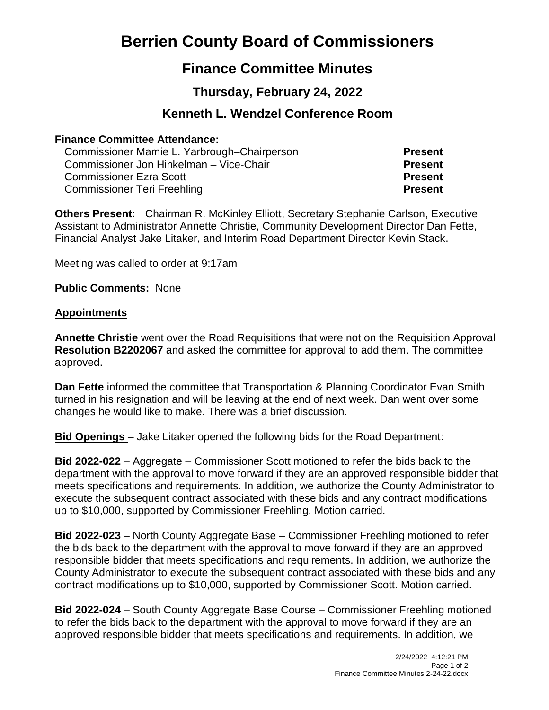# **Berrien County Board of Commissioners**

## **Finance Committee Minutes**

## **Thursday, February 24, 2022**

### **Kenneth L. Wendzel Conference Room**

#### **Finance Committee Attendance:**

Commissioner Mamie L. Yarbrough–Chairperson **Present** Commissioner Jon Hinkelman – Vice-Chair **Present** Commissioner Ezra Scott **Present** Commissioner Teri Freehling **Present**

**Others Present:** Chairman R. McKinley Elliott, Secretary Stephanie Carlson, Executive Assistant to Administrator Annette Christie, Community Development Director Dan Fette, Financial Analyst Jake Litaker, and Interim Road Department Director Kevin Stack.

Meeting was called to order at 9:17am

**Public Comments:** None

#### **Appointments**

**Annette Christie** went over the Road Requisitions that were not on the Requisition Approval **Resolution B2202067** and asked the committee for approval to add them. The committee approved.

**Dan Fette** informed the committee that Transportation & Planning Coordinator Evan Smith turned in his resignation and will be leaving at the end of next week. Dan went over some changes he would like to make. There was a brief discussion.

**Bid Openings** – Jake Litaker opened the following bids for the Road Department:

**Bid 2022-022** – Aggregate – Commissioner Scott motioned to refer the bids back to the department with the approval to move forward if they are an approved responsible bidder that meets specifications and requirements. In addition, we authorize the County Administrator to execute the subsequent contract associated with these bids and any contract modifications up to \$10,000, supported by Commissioner Freehling. Motion carried.

**Bid 2022-023** – North County Aggregate Base – Commissioner Freehling motioned to refer the bids back to the department with the approval to move forward if they are an approved responsible bidder that meets specifications and requirements. In addition, we authorize the County Administrator to execute the subsequent contract associated with these bids and any contract modifications up to \$10,000, supported by Commissioner Scott. Motion carried.

**Bid 2022-024** – South County Aggregate Base Course – Commissioner Freehling motioned to refer the bids back to the department with the approval to move forward if they are an approved responsible bidder that meets specifications and requirements. In addition, we